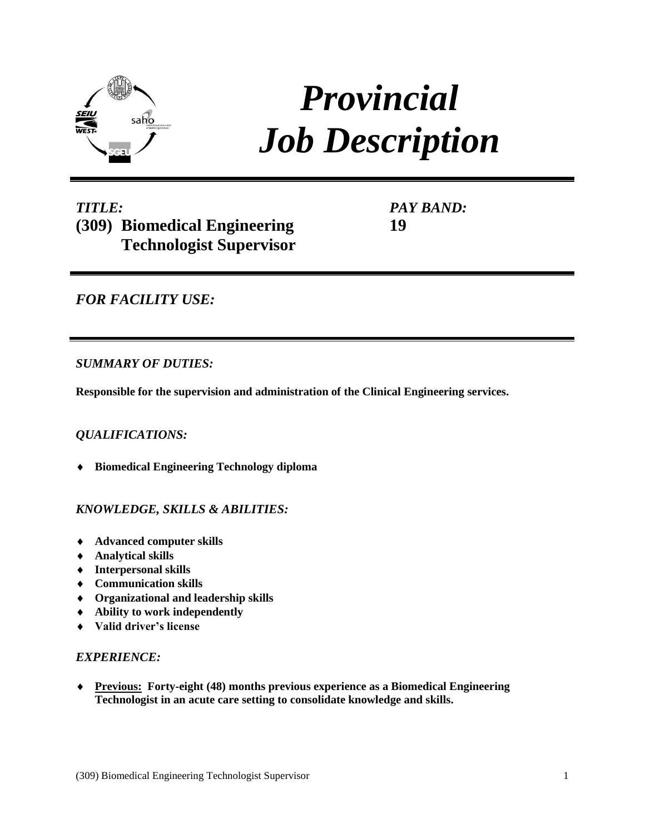

# *Provincial Job Description*

# *TITLE:* **(309) Biomedical Engineering Technologist Supervisor**

*PAY BAND:* **19**

# *FOR FACILITY USE:*

# *SUMMARY OF DUTIES:*

**Responsible for the supervision and administration of the Clinical Engineering services.** 

# *QUALIFICATIONS:*

**Biomedical Engineering Technology diploma**

# *KNOWLEDGE, SKILLS & ABILITIES:*

- **Advanced computer skills**
- **Analytical skills**
- **Interpersonal skills**
- **Communication skills**
- **Organizational and leadership skills**
- **Ability to work independently**
- **Valid driver's license**

# *EXPERIENCE:*

 **Previous: Forty-eight (48) months previous experience as a Biomedical Engineering Technologist in an acute care setting to consolidate knowledge and skills.**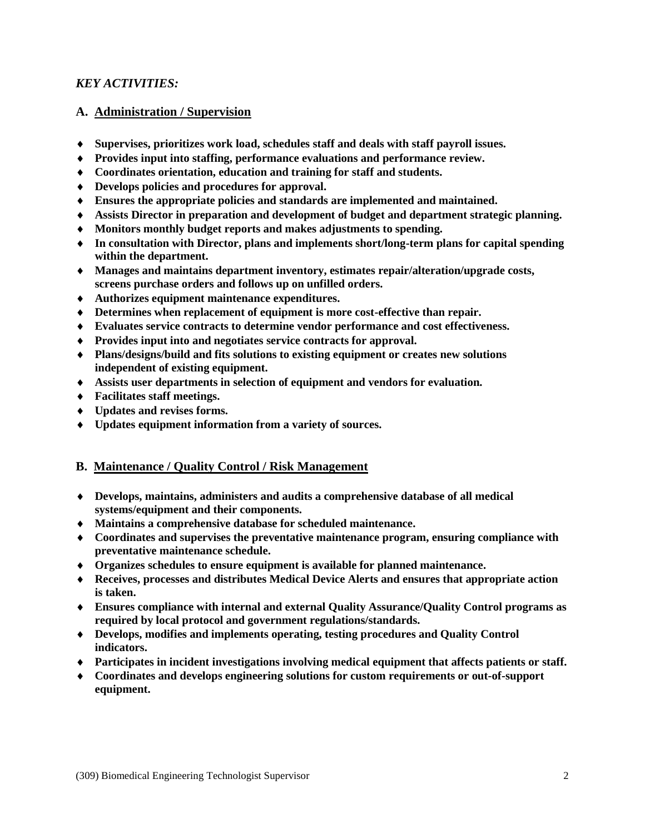#### *KEY ACTIVITIES:*

#### **A. Administration / Supervision**

- **Supervises, prioritizes work load, schedules staff and deals with staff payroll issues.**
- **Provides input into staffing, performance evaluations and performance review.**
- **Coordinates orientation, education and training for staff and students.**
- **Develops policies and procedures for approval.**
- **Ensures the appropriate policies and standards are implemented and maintained.**
- **Assists Director in preparation and development of budget and department strategic planning.**
- **Monitors monthly budget reports and makes adjustments to spending.**
- **In consultation with Director, plans and implements short/long-term plans for capital spending within the department.**
- **Manages and maintains department inventory, estimates repair/alteration/upgrade costs, screens purchase orders and follows up on unfilled orders.**
- **Authorizes equipment maintenance expenditures.**
- **Determines when replacement of equipment is more cost-effective than repair.**
- **Evaluates service contracts to determine vendor performance and cost effectiveness.**
- **Provides input into and negotiates service contracts for approval.**
- **Plans/designs/build and fits solutions to existing equipment or creates new solutions independent of existing equipment.**
- **Assists user departments in selection of equipment and vendors for evaluation.**
- **Facilitates staff meetings.**
- **Updates and revises forms.**
- **Updates equipment information from a variety of sources.**

#### **B. Maintenance / Quality Control / Risk Management**

- **Develops, maintains, administers and audits a comprehensive database of all medical systems/equipment and their components.**
- **Maintains a comprehensive database for scheduled maintenance.**
- **Coordinates and supervises the preventative maintenance program, ensuring compliance with preventative maintenance schedule.**
- **Organizes schedules to ensure equipment is available for planned maintenance.**
- **Receives, processes and distributes Medical Device Alerts and ensures that appropriate action is taken.**
- **Ensures compliance with internal and external Quality Assurance/Quality Control programs as required by local protocol and government regulations/standards.**
- **Develops, modifies and implements operating, testing procedures and Quality Control indicators.**
- **Participates in incident investigations involving medical equipment that affects patients or staff.**
- **Coordinates and develops engineering solutions for custom requirements or out-of-support equipment.**